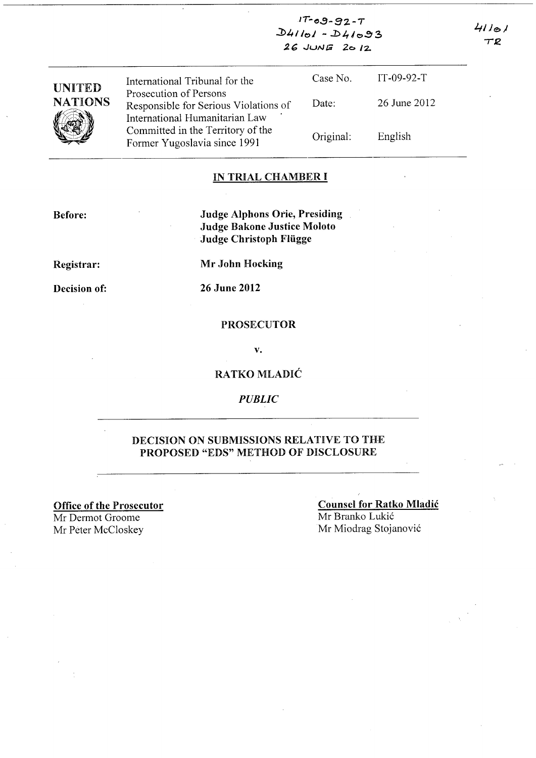$17 - 09 - 92 - 7$  $D41101 - D41093$  $26$  JUNE  $2012$ 

| <b>UNITED</b><br><b>NATIONS</b> | International Tribunal for the                                                                    | Case No.  | $IT-09-92-T$ |
|---------------------------------|---------------------------------------------------------------------------------------------------|-----------|--------------|
|                                 | Prosecution of Persons<br>Responsible for Serious Violations of<br>International Humanitarian Law | Date:     | 26 June 2012 |
|                                 | Committed in the Territory of the<br>Former Yugoslavia since 1991                                 | Original. | English      |

#### IN TRIAL CHAMBER I

Before:

Judge Alphons Orie, Presiding Judge Bakone Justice Moloto Judge Christoph Fliigge

Registrar:

Mr John Hocking

Decision of:

26 June 2012

#### PROSECUTOR

v.

### RATKO MLADIC

*PUBLIC* 

### DECISION ON SUBMISSIONS RELATIVE TO THE PROPOSED "EDS" METHOD OF DISCLOSURE

Office of the Prosecutor Mr Dermot Groome Mr Peter McCloskey Mr Miodrag Stojanović

Counsel for Ratko Mladic Mr Branko Lukić

 $41101$  $T2$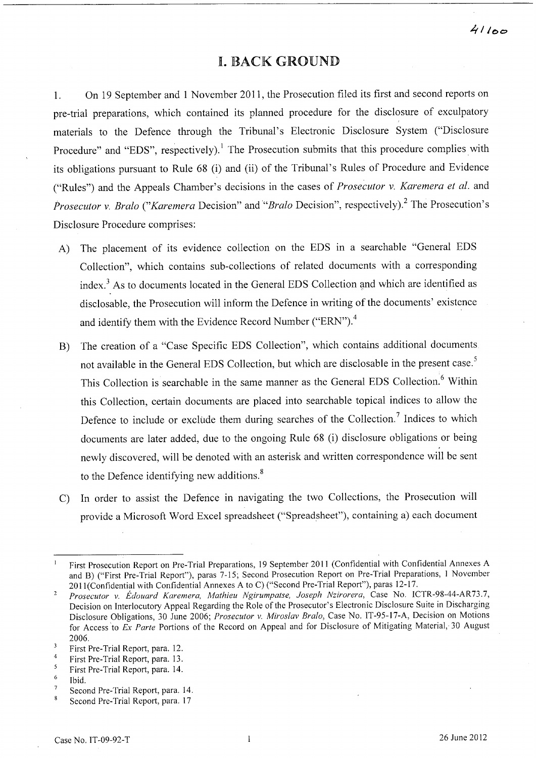## I. BACK GROUND

1. On 19 September and 1 November 2011, the Prosecution filed its first and second reports on pre-trial preparations, which contained its planned procedure for the disclosure of exculpatory materials to the Defence through the Tribunal's Electronic Disclosure System ("Disclosure Procedure" and "EDS", respectively).<sup>1</sup> The Prosecution submits that this procedure complies with its obligations pursuant to Rule 68 (i) and (ii) of the Tribunal's Rules of Procedure and Evidence ("Rules") and the Appeals Chamber's decisions in the cases of *Prosecutor v. Karemera et al.* and *Prosecutor v. Bralo ("Karemera* Decision" and *"Bralo* Decision", respectively)? The Prosecution's Disclosure Procedure comprises:

- A) The placement of its evidence collection on the EDS in a searchable "General EDS Collection", which contains sub-collections of related documents with a corresponding index.<sup>3</sup> As to documents located in the General EDS Collection and which are identified as disclosable, the Prosecution will inform the Defence in writing of the documents' existence and identify them with the Evidence Record Number ("ERN").<sup>4</sup>
- B) The creation of a "Case Specific EDS Collection", which contains additional documents not available in the General EDS Collection, but which are disclosable in the present case.<sup>5</sup> This Collection is searchable in the same manner as the General EDS Collection.<sup>6</sup> Within this Collection, certain documents are placed into searchable topical indices to allow the Defence to include or exclude them during searches of the Collection.<sup>7</sup> Indices to which documents are later added, due to the ongoing Rule 68 (i) disclosure obligations or being newly discovered, will be denoted with an asterisk and written correspondence will be sent to the Defence identifying new additions.<sup>8</sup>
- C) In order to assist the Defence in navigating the two Collections, the Prosecution will provide a Microsoft Word Excel spreadsheet ("Spreadsheet"), containing a) each document

First Prosecution Report on Pre-Trial Preparations, 19 September 2011 (Confidential with Confidential Annexes A  $\mathbf{I}$ and B) ("First Pre-Trial Report"), paras 7-15; Second Prosecution Report on Pre-Trial Preparations, 1 November 2011(Confidential with Confidential Annexes A to C) ("Second Pre-Trial Report"), paras 12-17.

*Prosecutor* v. *Edouard Karemera, Mathieu Ngirumpatse, Joseph Nzirorera,* Case No. ICTR-98-44-AR73.7,  $\overline{2}$ Decision on Interlocutory Appeal Regarding the Role of the Prosecutor's Electronic Disclosure Suite in Discharging Disclosure Obligations, 30 June 2006; *Prosecutor* v. *Miroslav Bralo,* Case No. IT-95-l7-A, Decision on Motions for Access 'to *Ex Parte* Portions of the Record on Appeal and for Disclosure of Mitigating Material, 30 August 2006.

 $\overline{\mathbf{3}}$ First Pre-Trial Report, para. 12.

<sup>4</sup>  First Pre-Trial Report, para. 13.

<sup>5</sup> First Pre-Trial Report, para. 14.

<sup>6</sup>  Ibid.

 $\overline{7}$ Second Pre-Trial Report, para. 14.

 $\overline{8}$ Second Pre-Trial Report, para. 17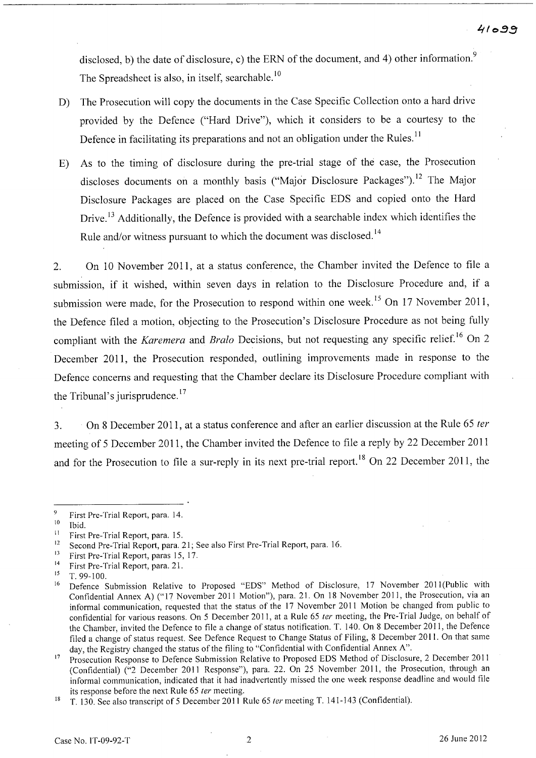disclosed, b) the date of disclosure, c) the ERN of the document, and 4) other information.<sup>9</sup> The Spreadsheet is also, in itself, searchable.<sup>10</sup>

- D) The Prosecution will copy the documents in the Case Specific Collection onto a hard drive provided by the Defence ("Hard Drive"), which it considers to be a courtesy to the Defence in facilitating its preparations and not an obligation under the Rules.<sup>11</sup>
- E) As to the timing of disclosure during the pre-trial stage of the case, the Prosecution discloses documents on a monthly basis ("Major Disclosure Packages").<sup>12</sup> The Major Disclosure Packages are placed on the Case Specific EDS and copied onto the Hard Drive.<sup>13</sup> Additionally, the Defence is provided with a searchable index which identifies the Rule and/or witness pursuant to which the document was disclosed.<sup>14</sup>

2. On 10 November 2011, at a status conference, the Chamber invited the Defence to file a submission, if it wished, within seven days in relation to the Disclosure Procedure and, if a submission were made, for the Prosecution to respond within one week.<sup>15</sup> On 17 November 2011, the Defence filed a motion, objecting to the Prosecution's Disclosure Procedure as not being fully compliant with the *Karemera* and *Bralo* Decisions, but not requesting any specific relief.<sup>16</sup> On 2 December 2011, the Prosecution responded, outlining improvements made in response to the Defence concerns and requesting that the Chamber declare its Disclosure Procedure compliant with the Tribunal's jurisprudence.<sup>17</sup>

3. On 8 December 2011, at a status conference and after an earlier discussion at the Rule 65 *ter*  meeting of 5 December 2011, the Chamber invited the Defence to file a reply by 22 December 2011 and for the Prosecution to file a sur-reply in its next pre-trial report.<sup>18</sup> On 22 December 2011, the

<sup>9</sup> First Pre-Trial Report, para. 14.

 $10$  Ibid.

<sup>&</sup>lt;sup>11</sup> First Pre-Trial Report, para. 15.<br><sup>12</sup> Second Pre-Trial Benert, para. <sup>1</sup>

<sup>&</sup>lt;sup>12</sup> Second Pre-Trial Report, para. 21; See also First Pre-Trial Report, para. 16.<br><sup>13</sup> Einst Pre-Trial Report, parae 15, 17.

<sup>&</sup>lt;sup>13</sup> First Pre-Trial Report, paras 15, 17.

<sup>&</sup>lt;sup>14</sup> First Pre-Trial Report, para. 21.<br><sup>15</sup> T 99-100

T. 99-100.

<sup>&</sup>lt;sup>16</sup> Defence Submission Relative to Proposed "EDS" Method of Disclosure, 17 November 2011(Public with Confidential Annex A) ("17 November 2011 Motion"), para. 21. On 18 November 2011, the Prosecution, via an informal communication, requested that the status of the 17 November 2011 Motion be changed from public to confidential for various reasons. On 5 December 2011, at a Rule 65 ter meeting, the Pre-Trial Judge, on behalf of the Chamber, invited the Defence to file a change of status notification. T. 140. On 8 December 2011, the Defence filed a change of status request. See Defence Request to Change Status of Filing, 8 December 2011. On that same day, the Registry changed the status of the filing to "Confidential with Confidential Annex A".

<sup>&</sup>lt;sup>17</sup> Prosecution Response to Defence Submission Relative to Proposed EDS Method of Disclosure, 2 December 2011 (Confidential) ("2 December 2011 Response"), para. 22. On 25 November 2011, the Prosecution, through an informal communication, indicated that it had inadvertently missed the one week response deadline and would file its response before the next Rule 65 ter meeting.

<sup>&</sup>lt;sup>18</sup> T. 130. See also transcript of 5 December 2011 Rule 65 *ter* meeting T. 141-143 (Confidential).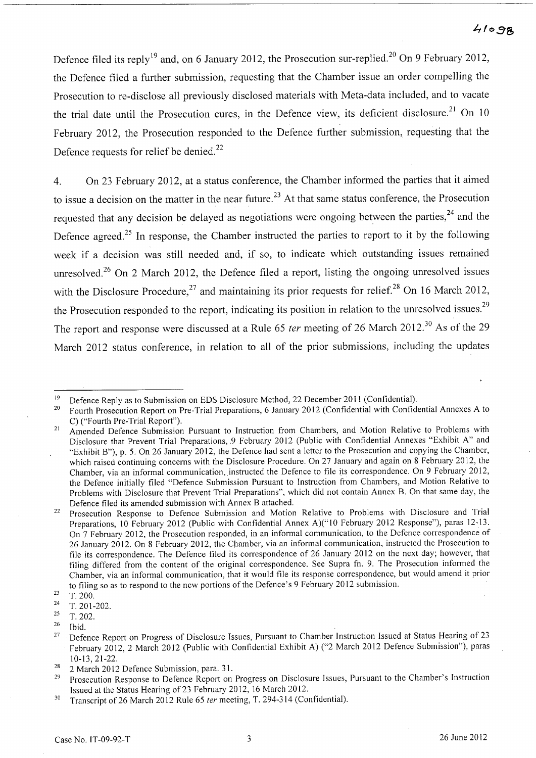## $41098$

Defence filed its reply<sup>19</sup> and, on 6 January 2012, the Prosecution sur-replied.<sup>20</sup> On 9 February 2012, the Defence filed a further submission, requesting that the Chamber issue an order compelling the Prosecution to re-disclose all previously disclosed materials with Meta-data included, and to vacate the trial date until the Prosecution cures, in the Defence view, its deficient disclosure.<sup>21</sup> On 10 February 2012, the Prosecution responded to the Defence further submission, requesting that the Defence requests for relief be denied.<sup>22</sup>

4. On 23 February 2012, at a status conference, the Chamber informed the parties that it aimed to issue a decision on the matter in the near future.<sup>23</sup> At that same status conference, the Prosecution requested that any decision be delayed as negotiations were ongoing between the parties,<sup>24</sup> and the Defence agreed.<sup>25</sup> In response, the Chamber instructed the parties to report to it by the following week if a decision was still needed and, if so, to indicate which outstanding issues remained unresolved.<sup>26</sup> On 2 March 2012, the Defence filed a report, listing the ongoing unresolved issues with the Disclosure Procedure,<sup>27</sup> and maintaining its prior requests for relief.<sup>28</sup> On 16 March 2012, the Prosecution responded to the report, indicating its position in relation to the unresolved issues.<sup>29</sup> The report and response were discussed at a Rule 65 ter meeting of 26 March 2012.<sup>30</sup> As of the 29 March 2012 status conference, in relation to all of the prior submissions, including the updates

<sup>&</sup>lt;sup>19</sup> Defence Reply as to Submission on EDS Disclosure Method, 22 December 2011 (Confidential).<br><sup>20</sup> Equath Processition Bonest on Pro Trial Preparations 6 January 2012 (Confidential with Confidential

<sup>20</sup> Fourth Prosecution Report on Pre-Trial Preparations, 6 January 2012 (Confidential with Confidential Annexes A to C) ("Fourth Pre-Trial Report").

<sup>&</sup>lt;sup>21</sup> Amended Defence Submission Pursuant to Instruction from Chambers, and Motion Relative to Problems with Disclosure that Prevent Trial Preparations, 9 February 2012 (Public with Confidential Annexes "Exhibit A" and "Exhibit B"), p. 5. On 26 January 2012, the Defence had sent a letter to the Prosecution and copying the Chamber, which raised continuing concerns with the Disclosure Procedure. On 27 January and again on 8 February 2012, the Chamber, via an informal communication, instructed the Defence to file its correspondence. On 9 February 2012, the Defence initially filed "Defence Submission Pursuant to Instruction from Chambers, and Motion Relative to Problems with Disclosure that Prevent Trial Preparations", which did not contain Annex B. On that same day, the Defence filed its amended submission with Annex B attached.

<sup>&</sup>lt;sup>22</sup> Prosecution Response to Defence Submission and Motion Relative to Problems with Disclosure and Trial Preparations, 10 February 2012 (Public with Confidential Annex A)("10 February 2012 Response"), paras 12-13. On 7 February 2012, the Prosecution responded, in an informal communication, to the Defence correspondence of 26 January 2012. On 8 February 2012, the Chamber, via an informal communication, instructed the Prosecution to file its correspondence. The Defence filed its correspondence of 26 January 2012 on the next day; however, that filing differed from the content of the original correspondence. See Supra fn. 9. The Prosecution informed the Chamber, via an informal communication, that it would file its response correspondence, but would amend it prior to filing so as to respond to the new portions of the Defence's 9 February 2012 submission.

<sup>23</sup>  T. 200.

<sup>24</sup> T. 201-202.

 $25$  T. 202.

 $26$  Ibid.

<sup>&</sup>lt;sup>27</sup> Defence Report on Progress of Disclosure Issues, Pursuant to Chamber Instruction Issued at Status Hearing of 23 February 2012, 2 March 2012 (Public with Confidential Exhibit A) ("2 March 2012 Defence Submission"), paras 10-13, 21-22.

<sup>&</sup>lt;sup>28</sup> 2 March 2012 Defence Submission, para. 31.<br><sup>29</sup> Deceasition Bernance to Defence Benort on

Prosecution Response to Defence Report on Progress on Disclosure Issues, Pursuant to the Chamber's Instruction Issued at the Status Hearing of23 February 2012, 16 March 2012.

<sup>&</sup>lt;sup>30</sup> Transcript of 26 March 2012 Rule 65 ter meeting, T. 294-314 (Confidential).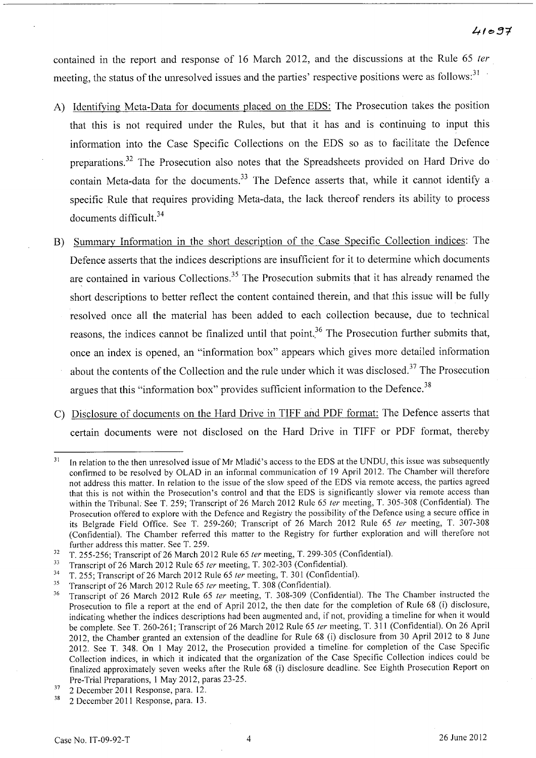contained in the report and response of 16 March 2012, and the discussions at the Rule 65 ter meeting, the status of the unresolved issues and the parties' respective positions were as follows:<sup>31</sup>

- A) Identifying Meta-Data for documents placed on the EDS: The Prosecution takes the position that this is not required under the Rules, but that it has and is continuing to input this information into the Case Specific Collections on the EDS so as to facilitate the Defence preparations.32 The Prosecution also notes that the Spreadsheets provided on Hard Drive do contain Meta-data for the documents.<sup>33</sup> The Defence asserts that, while it cannot identify a specific Rule that requires providing Meta-data, the lack thereof renders its ability to process documents difficult. 34
- B) Summary Information in the short description of the Case Specific Collection indices: The Defence asserts that the indices descriptions are insufficient for it to determine which documents are contained in various Collections.<sup>35</sup> The Prosecution submits that it has already renamed the short descriptions to better reflect the content contained therein, and that this issue will be fully resolved once all the material has been added to each collection because, due to technical reasons, the indices cannot be finalized until that point.<sup>36</sup> The Prosecution further submits that, once an index is opened, an "information box" appears which gives more detailed information about the contents of the Collection and the rule under which it was disclosed.<sup>37</sup> The Prosecution argues that this "information box" provides sufficient information to the Defence. <sup>38</sup>
- C) Disclosure of documents on the Hard Drive in TIFF and PDF format: The Defence asserts that certain documents were not disclosed on the Hard Drive in TIFF or PDF format, thereby

<sup>&</sup>lt;sup>31</sup> In relation to the then unresolved issue of Mr Mladić's access to the EDS at the UNDU, this issue was subsequently confirmed to be resolved by OLAD in an informal communication of 19 April 2012. The Chamber will therefore not address this matter. In relation to the issue of the slow speed of the EDS via remote access, the parties agreed that this is not within the Prosecution's control and that the EDS is significantly slower via remote access than within the Tribunal: See T. 259; Transcript of 26 March 2012 Rule 65 ter meeting, T. 305-308 (Confidential). The Prosecution offered to explore with the Defence and Registry the possibility of the Defence using a secure office in its Belgrade Field Office. See T. 259-260; Transcript of 26 March 2012 Rule 65 ter meeting, T. 307-308 (Confidential). The Chamber referred this matter to the Registry for further exploration and will therefore not further address this matter. See T. 259.

 $32$  T. 255-256; Transcript of 26 March 2012 Rule 65 ter meeting, T. 299-305 (Confidential).

<sup>33</sup> Transcript of 26 March 2012 Rule 65 *ter* meeting, T. 302-303 (Confidential).

<sup>&</sup>lt;sup>34</sup> T. 255; Transcript of 26 March 2012 Rule 65 *ter* meeting, T. 301 (Confidential).

<sup>&</sup>lt;sup>35</sup> Transcript of 26 March 2012 Rule 65 *ter* meeting, T. 308 (Confidential).<br><sup>36</sup> Transcript of 26 March 2012 Bulo 65 *ter* meeting, T. 308 309 (Confi

Transcript of 26 March 2012 Rule 65 ter meeting, T. 308-309 (Confidential). The The Chamber instructed the Prosecution to file a report at the end of April 2012, the then date for the completion of Rule 68 (i) disclosure, indicating whether the indices descriptions had been augmented and, if not, providing a timeline for when it would be complete. See T. 260-261; Transcript of 26 March 2012 Rule 65 ter meeting, T. 311 (Confidential). On 26 April 2012, the Chamber granted an extension of the deadline for Rule 68 (i) disclosure from 30 April 2012 to 8 June 2012. See T. 348. On 1 May 2012, the Prosecution provided a timeline for completion of the Case Specific Collection indices, in which it indicated that the organization of the Case Specific Collection indices could be finalized approximately seven weeks after the Rule 68 (i) disclosure deadline. See Eighth Prosecution Report on Pre-Trial Preparations, 1 May 2012, paras 23-25.

<sup>37 2</sup> December 2011 Response, para. 12.

<sup>38 2</sup> December 2011 Response, para. 13.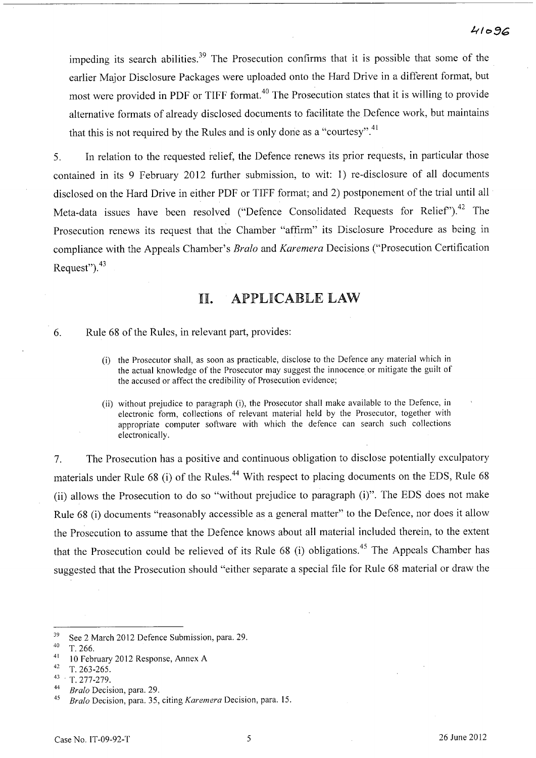impeding its search abilities.<sup>39</sup> The Prosecution confirms that it is possible that some of the earlier Major Disclosure Packages were uploaded onto the Hard Drive in a different format, but most were provided in PDF or TIFF format.<sup>40</sup> The Prosecution states that it is willing to provide alternative formats of already disclosed documents to facilitate the Defence work, but maintains that this is not required by the Rules and is only done as a "courtesy".<sup>41</sup>

5. In relation to the requested relief, the Defence renews its prior requests, in particular those contained in its 9 February 2012 further submission, to wit: 1) re-disclosure of all documents disclosed on the Hard Drive in either PDF or TIFF format; and 2) postponement of the trial until all Meta-data issues have been resolved ("Defence Consolidated Requests for Relief").<sup>42</sup> The Prosecution renews its request that the Chamber "affirm" its Disclosure Procedure as being in compliance with the Appeals Chamber's *Bralo* and *Karemera* Decisions ("Prosecution Certification Request"). $43$ 

# llI. APPLICABLE LAW

- 6. Rule 68 of the Rules, in relevant part, provides:
	- (i) the Prosecutor shall, as soon as practicable, disclose to the Defence any material which in the actual knowledge of the Prosecutor may suggest the innocence or mitigate the guilt of the accused or affect the credibility of Prosecution evidence;
	- (ii) without prejudice to paragraph (i), the Prosecutor shall make available to the Defence, in electronic form, collections of relevant material held by the Prosecutor, together with appropriate computer software with which the defence can search such collections electronically.

7. The Prosecution has a positive and continuous obligation to disclose potentially exculpatory materials under Rule 68 (i) of the Rules.<sup>44</sup> With respect to placing documents on the EDS, Rule 68 (ii) allows the Prosecution to do so "without prejudice to paragraph  $(i)$ ". The EDS does not make Rule 68 (i) documents "reasonably accessible as a general matter" to the Defence, nor does it allow the Prosecution to assume that the Defence knows about all material included therein, to the extent that the Prosecution could be relieved of its Rule 68 (i) obligations.<sup>45</sup> The Appeals Chamber has suggested that the Prosecution should "either separate a special file for Rule 68 material or draw the

<sup>&</sup>lt;sup>39</sup> See 2 March 2012 Defence Submission, para. 29.

 $\frac{40}{41}$  T. 266.

<sup>&</sup>lt;sup>41</sup> 10 February 2012 Response, Annex A<br><sup>42</sup>  $\overline{T}$  263 265

<sup>42</sup> T. 263-265.

<sup>43 .</sup> *T.277-279.* 

<sup>&</sup>lt;sup>44</sup> *Bralo* Decision, para. 29.

*<sup>45</sup> Bralo* Decision, para. 35, citing *Karemera* Decision, para. 15.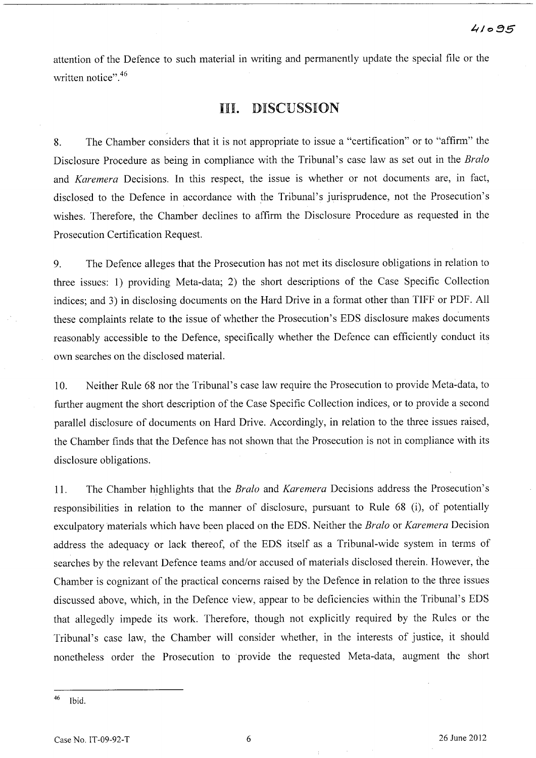attention of the Defence to such material in writing and permanently update the special file or the written notice".<sup>46</sup>

## III. DISCUSSION

8. The Chamber considers that it is not appropriate to issue a "certification" or to "affirm" the Disclosure Procedure as being in compliance with the Tribunal's case law as set out in the *Bralo*  and *Karemera* Decisions. In this respect, the issue is whether or not documents are, in fact, disclosed to the Defence in accordance with the Tribunal's jurisprudence, not the Prosecution's wishes. Therefore, the Chamber declines to affirm the Disclosure Procedure as requested in the Prosecution Certification Request.

9. The Defence alleges that the Prosecution has not met its disclosure obligations in relation to three issues: 1) providing Meta-data; 2) the short descriptions of the Case Specific Collection indices; and 3) in disclosing documents on the Hard Drive in a format other than TIFF or PDF. All these complaints relate to the issue of whether the Prosecution's EDS disclosure makes documents reasonably accessible to the Defence, specifically whether the Defence can efficiently conduct its own searches on the disclosed material.

10. Neither Rule 68 nor the Tribunal's case law require the Prosecution to provide Meta-data, to further augment the short description of the Case Specific Collection indices, or to provide a second parallel disclosure of documents on Hard Drive. Accordingly, in relation to the three issues raised, the Chamber finds that the Defence has not shown that the Prosecution is not in compliance with its disclosure obligations.

11. The Chamber highlights that the *Bralo* and *Karemera* Decisions address the Prosecution's responsibilities in relation to the manner of disclosure, pursuant to Rule 68 (i), of potentially exculpatory materials which have been placed on the EDS. Neither the *Bralo* or *Karemera* Decision address the adequacy or lack thereof, of the EDS itself as a Tribunal-wide system in terms of searches by the relevant Defence teams and/or accused of materials disclosed therein. However, the Chamber is cognizant of the practical concerns raised by the Defence in relation to the three issues discussed above, which, in the Defence view, appear to be deficiencies within the Tribunal's EDS that allegedly impede its work. Therefore, though not explicitly required by the Rules or the Tribunal's case law, the Chamber will consider whether, in the interests of justice, it should nonetheless order the Prosecution to provide the requested Meta-data, augment the short

<sup>46</sup> Ibid.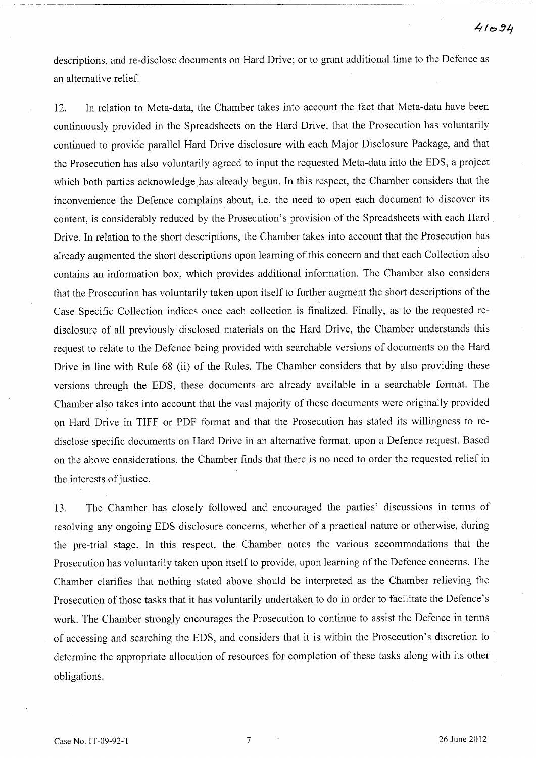descriptions, and re-disclose documents on Hard Drive; or to grant additional time to the Defence as an alternative relief.

12. In relation to Meta-data, the Chamber takes into account the fact that Meta-data have been continuously provided in the Spreadsheets on the Hard Drive, that the Prosecution has voluntarily continued to provide parallel Hard Drive disclosure with each Major Disclosure Package, and that the Prosecution has also voluntarily agreed to input the requested Meta-data into the EDS, a project which both parties acknowledge has already begun. In this respect, the Chamber considers that the inconvenience the Defence complains about, i.e. the need to open each document to discover its content, is considerably reduced by the Prosecution's provision of the Spreadsheets with each Hard Drive. In relation to the short descriptions, the Chamber takes into account that the Prosecution has already augmented the short descriptions upon learning of this concern and that each Collection also contains an information box, which provides additional information. The Chamber also considers that the Prosecution has voluntarily taken upon itself to further augment the short descriptions of the Case Specific Collection indices once each collection is finalized. Finally, as to the requested redisclosure of all previously disclosed materials on the Hard Drive, the Chamber understands this request to relate to the Defence being provided with searchable versions of documents on the Hard Drive in line with Rule 68 (ii) of the Rules. The Chamber considers that by also providing these versions through the EDS, these documents are already available in a searchable format. The Chamber also takes into account that the vast majority of these documents were originally provided on Hard Drive in TIFF or PDF format and that the Prosecution has stated its willingness to redisclose specific documents on Hard Drive in an alternative format, upon a Defence request. Based on the above considerations, the Chamber finds that there is no need to order the requested relief in the interests of justice.

13. The Chamber has closely followed and encouraged the parties' discussions in terms of resolving any ongoing EDS disclosure concerns, whether of a practical nature or otherwise, during the pre-trial stage. In this respect, the Chamber notes the various accommodations that the Prosecution has voluntarily taken upon itself to provide, upon learning of the Defence concerns. The Chamber clarifies that nothing stated above should be interpreted as the Chamber relieving the Prosecution of those tasks that it has voluntarily undertaken to do in order to facilitate the Defence's work. The Chamber strongly encourages the Prosecution to continue to assist the Defence in terms of accessing and searching the EDS, and considers that it is within the Prosecution's discretion to determine the appropriate allocation of resources for completion of these tasks along with its other obligations.